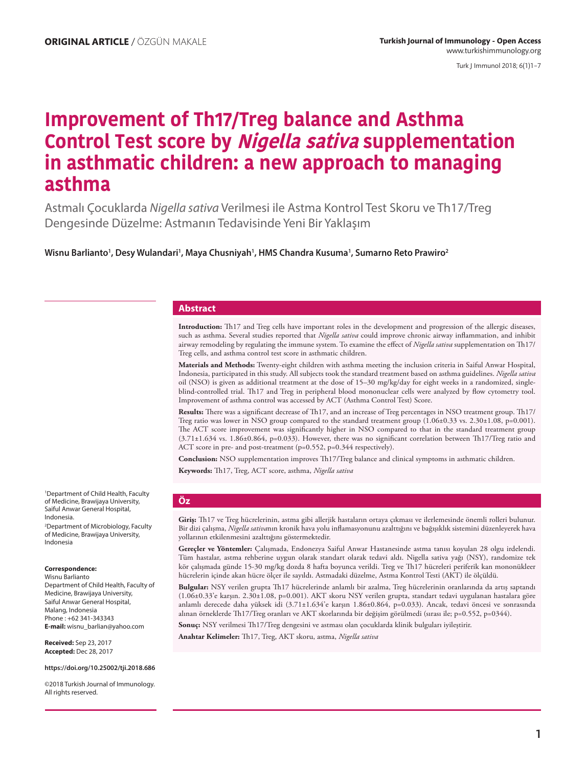Turk J Immunol 2018; 6(1)1−7

# **Improvement of Th17/Treg balance and Asthma Control Test score by Nigella sativa supplementation in asthmatic children: a new approach to managing asthma**

Astmalı Çocuklarda *Nigella sativa* Verilmesi ile Astma Kontrol Test Skoru ve Th17/Treg Dengesinde Düzelme: Astmanın Tedavisinde Yeni Bir Yaklaşım

Wisnu Barlianto<sup>1</sup>, Desy Wulandari<sup>1</sup>, Maya Chusniyah<sup>1</sup>, HMS Chandra Kusuma<sup>1</sup>, Sumarno Reto Prawiro<sup>2</sup>

#### **Abstract**

**Introduction:** Th17 and Treg cells have important roles in the development and progression of the allergic diseases, such as asthma. Several studies reported that *Nigella sativa* could improve chronic airway inflammation, and inhibit airway remodeling by regulating the immune system. To examine the effect of *Nigella sativa* supplementation on Th17/ Treg cells, and asthma control test score in asthmatic children.

**Materials and Methods:** Twenty-eight children with asthma meeting the inclusion criteria in Saiful Anwar Hospital, Indonesia, participated in this study. All subjects took the standard treatment based on asthma guidelines. *Nigella sativa* oil (NSO) is given as additional treatment at the dose of 15–30 mg/kg/day for eight weeks in a randomized, singleblind-controlled trial. Th17 and Treg in peripheral blood mononuclear cells were analyzed by flow cytometry tool. Improvement of asthma control was accessed by ACT (Asthma Control Test) Score.

**Results:** There was a significant decrease of Th17, and an increase of Treg percentages in NSO treatment group. Th17/ Treg ratio was lower in NSO group compared to the standard treatment group (1.06±0.33 vs. 2.30±1.08, p=0.001). The ACT score improvement was significantly higher in NSO compared to that in the standard treatment group (3.71±1.634 vs. 1.86±0.864, p=0.033). However, there was no significant correlation between Th17/Treg ratio and ACT score in pre- and post-treatment (p=0.552, p=0.344 respectively).

**Conclusion:** NSO supplementation improves Th17/Treg balance and clinical symptoms in asthmatic children.

**Keywords:** Th17, Treg, ACT score, asthma, *Nigella sativa*

1 Department of Child Health, Faculty of Medicine, Brawijaya University, Saiful Anwar General Hospital, Indonesia. 2 Department of Microbiology, Faculty of Medicine, Brawijaya University, Indonesia

#### **Correspondence:**

Wisnu Barlianto Department of Child Health, Faculty of Medicine, Brawijaya University, Saiful Anwar General Hospital, Malang, Indonesia Phone : +62 341-343343 **E-mail:** wisnu\_barlian@yahoo.com

**Received:** Sep 23, 2017 **Accepted:** Dec 28, 2017

**https://doi.org/10.25002/tji.2018.686**

©2018 Turkish Journal of Immunology. All rights reserved.

#### **Öz**

**Giriş:** Th17 ve Treg hücrelerinin, astma gibi allerjik hastaların ortaya çıkması ve ilerlemesinde önemli rolleri bulunur. Bir dizi çalışma, *Nigella sativa*nın kronik hava yolu inflamasyonunu azalttığını ve bağışıklık sistemini düzenleyerek hava yollarının etkilenmesini azalttığını göstermektedir.

**Gereçler ve Yöntemler:** Çalışmada, Endonezya Saiful Anwar Hastanesinde astma tanısı koyulan 28 olgu irdelendi. Tüm hastalar, astma rehberine uygun olarak standart olarak tedavi aldı. Nigella sativa yağı (NSY), randomize tek kör çalışmada günde 15-30 mg/kg dozda 8 hafta boyunca verildi. Treg ve Th17 hücreleri periferik kan mononükleer hücrelerin içinde akan hücre ölçer ile sayıldı. Astmadaki düzelme, Astma Kontrol Testi (AKT) ile ölçüldü.

**Bulgular:** NSY verilen grupta Th17 hücrelerinde anlamlı bir azalma, Treg hücrelerinin oranlarında da artış saptandı (1.06±0.33'e karşın. 2.30±1.08, p=0.001). AKT skoru NSY verilen grupta, standart tedavi uygulanan hastalara göre anlamlı derecede daha yüksek idi (3.71±1.634'e karşın 1.86±0.864, p=0.033). Ancak, tedavi öncesi ve sonrasında alınan örneklerde Th17/Treg oranları ve AKT skorlarında bir değişim görülmedi (sırası ile; p=0.552, p=0344).

**Sonuç:** NSY verilmesi Th17/Treg dengesini ve astması olan çocuklarda klinik bulguları iyileştirir.

**Anahtar Kelimeler:** Th17, Treg, AKT skoru, astma, *Nigella sativa*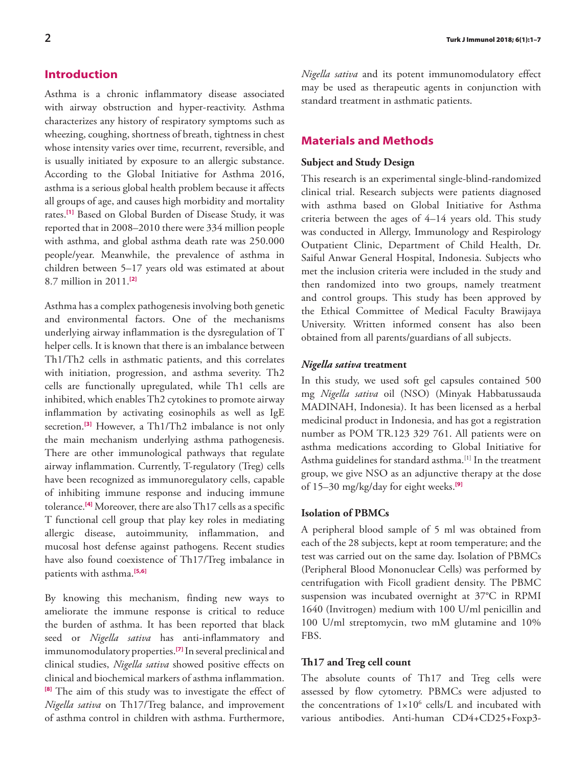# **Introduction**

Asthma is a chronic inflammatory disease associated with airway obstruction and hyper-reactivity. Asthma characterizes any history of respiratory symptoms such as wheezing, coughing, shortness of breath, tightness in chest whose intensity varies over time, recurrent, reversible, and is usually initiated by exposure to an allergic substance. According to the Global Initiative for Asthma 2016, asthma is a serious global health problem because it affects all groups of age, and causes high morbidity and mortality rates.**[\[1\]](#page-5-0)** Based on Global Burden of Disease Study, it was reported that in 2008–2010 there were 334 million people with asthma, and global asthma death rate was 250.000 people/year. Meanwhile, the prevalence of asthma in children between 5–17 years old was estimated at about 8.7 million in 2011.**[\[2\]](#page-5-0)**

Asthma has a complex pathogenesis involving both genetic and environmental factors. One of the mechanisms underlying airway inflammation is the dysregulation of T helper cells. It is known that there is an imbalance between Th1/Th2 cells in asthmatic patients, and this correlates with initiation, progression, and asthma severity. Th2 cells are functionally upregulated, while Th1 cells are inhibited, which enables Th2 cytokines to promote airway inflammation by activating eosinophils as well as IgE secretion.<sup>[\[3\]](#page-5-0)</sup> However, a Th1/Th2 imbalance is not only the main mechanism underlying asthma pathogenesis. There are other immunological pathways that regulate airway inflammation. Currently, T-regulatory (Treg) cells have been recognized as immunoregulatory cells, capable of inhibiting immune response and inducing immune tolerance.**[\[4\]](#page-5-0)** Moreover, there are also Th17 cells as a specific T functional cell group that play key roles in mediating allergic disease, autoimmunity, inflammation, and mucosal host defense against pathogens. Recent studies have also found coexistence of Th17/Treg imbalance in patients with asthma.**[\[5,6\]](#page-5-0)**

By knowing this mechanism, finding new ways to ameliorate the immune response is critical to reduce the burden of asthma. It has been reported that black seed or *Nigella sativa* has anti-inflammatory and immunomodulatory properties.**[\[7\]](#page-5-0)** In several preclinical and clinical studies, *Nigella sativa* showed positive effects on clinical and biochemical markers of asthma inflammation. **[\[8\]](#page-5-0)** The aim of this study was to investigate the effect of *Nigella sativa* on Th17/Treg balance, and improvement of asthma control in children with asthma. Furthermore,

*Nigella sativa* and its potent immunomodulatory effect may be used as therapeutic agents in conjunction with standard treatment in asthmatic patients.

# **Materials and Methods**

# **Subject and Study Design**

This research is an experimental single-blind-randomized clinical trial. Research subjects were patients diagnosed with asthma based on Global Initiative for Asthma criteria between the ages of 4–14 years old. This study was conducted in Allergy, Immunology and Respirology Outpatient Clinic, Department of Child Health, Dr. Saiful Anwar General Hospital, Indonesia. Subjects who met the inclusion criteria were included in the study and then randomized into two groups, namely treatment and control groups. This study has been approved by the Ethical Committee of Medical Faculty Brawijaya University. Written informed consent has also been obtained from all parents/guardians of all subjects.

### *Nigella sativa* **treatment**

In this study, we used soft gel capsules contained 500 mg *Nigella sativa* oil (NSO) (Minyak Habbatussauda MADINAH, Indonesia). It has been licensed as a herbal medicinal product in Indonesia, and has got a registration number as POM TR.123 329 761. All patients were on asthma medications according to Global Initiative for Asthma guidelines for standard asthma.<sup>[1]</sup> In the treatment group, we give NSO as an adjunctive therapy at the dose of 15–30 mg/kg/day for eight weeks.**[\[9\]](#page-5-0)**

## **Isolation of PBMCs**

A peripheral blood sample of 5 ml was obtained from each of the 28 subjects, kept at room temperature; and the test was carried out on the same day. Isolation of PBMCs (Peripheral Blood Mononuclear Cells) was performed by centrifugation with Ficoll gradient density. The PBMC suspension was incubated overnight at 37°C in RPMI 1640 (Invitrogen) medium with 100 U/ml penicillin and 100 U/ml streptomycin, two mM glutamine and 10% FBS.

### **Th17 and Treg cell count**

The absolute counts of Th17 and Treg cells were assessed by flow cytometry. PBMCs were adjusted to the concentrations of  $1 \times 10^6$  cells/L and incubated with various antibodies. Anti-human CD4+CD25+Foxp3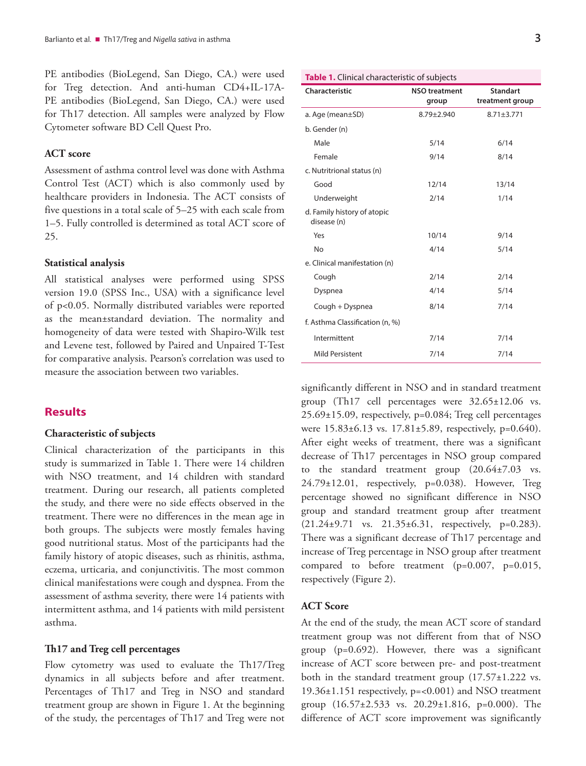PE antibodies (BioLegend, San Diego, CA.) were used for Treg detection. And anti-human CD4+IL-17A-PE antibodies (BioLegend, San Diego, CA.) were used for Th17 detection. All samples were analyzed by Flow Cytometer software BD Cell Quest Pro.

# **ACT score**

Assessment of asthma control level was done with Asthma Control Test (ACT) which is also commonly used by healthcare providers in Indonesia. The ACT consists of five questions in a total scale of 5–25 with each scale from 1–5. Fully controlled is determined as total ACT score of 25.

## **Statistical analysis**

All statistical analyses were performed using SPSS version 19.0 (SPSS Inc., USA) with a significance level of p<0.05. Normally distributed variables were reported as the mean±standard deviation. The normality and homogeneity of data were tested with Shapiro-Wilk test and Levene test, followed by Paired and Unpaired T-Test for comparative analysis. Pearson's correlation was used to measure the association between two variables.

# **Results**

#### **Characteristic of subjects**

Clinical characterization of the participants in this study is summarized in Table 1. There were 14 children with NSO treatment, and 14 children with standard treatment. During our research, all patients completed the study, and there were no side effects observed in the treatment. There were no differences in the mean age in both groups. The subjects were mostly females having good nutritional status. Most of the participants had the family history of atopic diseases, such as rhinitis, asthma, eczema, urticaria, and conjunctivitis. The most common clinical manifestations were cough and dyspnea. From the assessment of asthma severity, there were 14 patients with intermittent asthma, and 14 patients with mild persistent asthma.

## **Th17 and Treg cell percentages**

Flow cytometry was used to evaluate the Th17/Treg dynamics in all subjects before and after treatment. Percentages of Th17 and Treg in NSO and standard treatment group are shown in Figure 1. At the beginning of the study, the percentages of Th17 and Treg were not

| Table 1. Clinical characteristic of subjects |                               |                                    |
|----------------------------------------------|-------------------------------|------------------------------------|
| Characteristic                               | <b>NSO treatment</b><br>group | <b>Standart</b><br>treatment group |
| a. Age (mean±SD)                             | $8.79 \pm 2.940$              | $8.71 \pm 3.771$                   |
| b. Gender (n)                                |                               |                                    |
| Male                                         | 5/14                          | 6/14                               |
| Female                                       | 9/14                          | 8/14                               |
| c. Nutritrional status (n)                   |                               |                                    |
| Good                                         | 12/14                         | 13/14                              |
| Underweight                                  | 2/14                          | 1/14                               |
| d. Family history of atopic<br>disease (n)   |                               |                                    |
| Yes                                          | 10/14                         | 9/14                               |
| No                                           | 4/14                          | 5/14                               |
| e. Clinical manifestation (n)                |                               |                                    |
| Cough                                        | 2/14                          | 2/14                               |
| Dyspnea                                      | 4/14                          | 5/14                               |
| Cough + Dyspnea                              | 8/14                          | 7/14                               |
| f. Asthma Classification (n, %)              |                               |                                    |
| Intermittent                                 | 7/14                          | 7/14                               |
| <b>Mild Persistent</b>                       | 7/14                          | 7/14                               |

significantly different in NSO and in standard treatment group (Th17 cell percentages were 32.65±12.06 vs. 25.69±15.09, respectively, p=0.084; Treg cell percentages were 15.83±6.13 vs. 17.81±5.89, respectively, p=0.640). After eight weeks of treatment, there was a significant decrease of Th17 percentages in NSO group compared to the standard treatment group (20.64±7.03 vs. 24.79±12.01, respectively, p=0.038). However, Treg percentage showed no significant difference in NSO group and standard treatment group after treatment (21.24±9.71 vs. 21.35±6.31, respectively, p=0.283). There was a significant decrease of Th17 percentage and increase of Treg percentage in NSO group after treatment compared to before treatment (p=0.007, p=0.015, respectively (Figure 2).

# **ACT Score**

At the end of the study, the mean ACT score of standard treatment group was not different from that of NSO group (p=0.692). However, there was a significant increase of ACT score between pre- and post-treatment both in the standard treatment group (17.57±1.222 vs. 19.36±1.151 respectively, p=<0.001) and NSO treatment group (16.57±2.533 vs. 20.29±1.816, p=0.000). The difference of ACT score improvement was significantly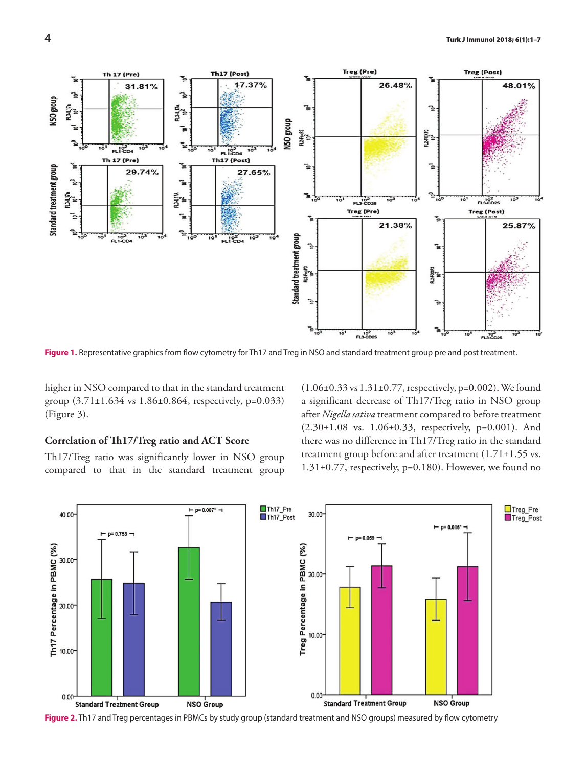

**Figure 1.** Representative graphics from flow cytometry for Th17 and Treg in NSO and standard treatment group pre and post treatment.

higher in NSO compared to that in the standard treatment group (3.71±1.634 vs 1.86±0.864, respectively, p=0.033) (Figure 3).

## **Correlation of Th17/Treg ratio and ACT Score**

Th17/Treg ratio was significantly lower in NSO group compared to that in the standard treatment group (1.06±0.33 vs 1.31±0.77, respectively, p=0.002). We found a significant decrease of Th17/Treg ratio in NSO group after *Nigella sativa* treatment compared to before treatment (2.30±1.08 vs. 1.06±0.33, respectively, p=0.001). And there was no difference in Th17/Treg ratio in the standard treatment group before and after treatment (1.71±1.55 vs. 1.31±0.77, respectively, p=0.180). However, we found no



**Figure 2.** Th17 and Treg percentages in PBMCs by study group (standard treatment and NSO groups) measured by flow cytometry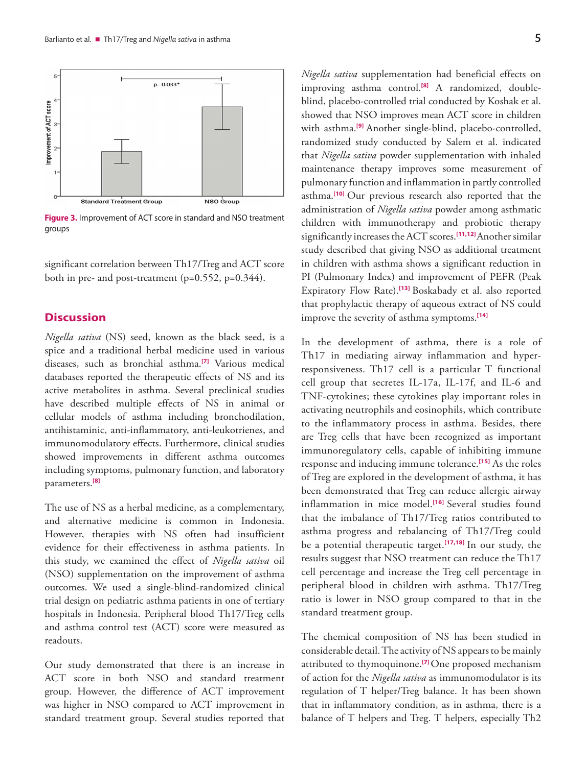

**Figure 3.** Improvement of ACT score in standard and NSO treatment groups

significant correlation between Th17/Treg and ACT score both in pre- and post-treatment  $(p=0.552, p=0.344)$ .

# **Discussion**

*Nigella sativa* (NS) seed, known as the black seed, is a spice and a traditional herbal medicine used in various diseases, such as bronchial asthma.**[\[7\]](#page-5-0)** Various medical databases reported the therapeutic effects of NS and its active metabolites in asthma. Several preclinical studies have described multiple effects of NS in animal or cellular models of asthma including bronchodilation, antihistaminic, anti-inflammatory, anti-leukotrienes, and immunomodulatory effects. Furthermore, clinical studies showed improvements in different asthma outcomes including symptoms, pulmonary function, and laboratory parameters.**[\[8\]](#page-5-0)**

The use of NS as a herbal medicine, as a complementary, and alternative medicine is common in Indonesia. However, therapies with NS often had insufficient evidence for their effectiveness in asthma patients. In this study, we examined the effect of *Nigella sativa* oil (NSO) supplementation on the improvement of asthma outcomes. We used a single-blind-randomized clinical trial design on pediatric asthma patients in one of tertiary hospitals in Indonesia. Peripheral blood Th17/Treg cells and asthma control test (ACT) score were measured as readouts.

Our study demonstrated that there is an increase in ACT score in both NSO and standard treatment group. However, the difference of ACT improvement was higher in NSO compared to ACT improvement in standard treatment group. Several studies reported that

*Nigella sativa* supplementation had beneficial effects on improving asthma control.**[\[8\]](#page-5-0)** A randomized, doubleblind, placebo-controlled trial conducted by Koshak et al. showed that NSO improves mean ACT score in children with asthma.**[\[9\]](#page-5-0)** Another single-blind, placebo-controlled, randomized study conducted by Salem et al. indicated that *Nigella sativa* powder supplementation with inhaled maintenance therapy improves some measurement of pulmonary function and inflammation in partly controlled asthma.**[\[10\]](#page-5-0)** Our previous research also reported that the administration of *Nigella sativa* powder among asthmatic children with immunotherapy and probiotic therapy significantly increases the ACT scores.**[\[11,12\]](#page-5-0)** Another similar study described that giving NSO as additional treatment in children with asthma shows a significant reduction in PI (Pulmonary Index) and improvement of PEFR (Peak Expiratory Flow Rate).**[\[13\]](#page-5-0)** Boskabady et al. also reported that prophylactic therapy of aqueous extract of NS could improve the severity of asthma symptoms.**[\[14\]](#page-5-0)**

In the development of asthma, there is a role of Th17 in mediating airway inflammation and hyperresponsiveness. Th17 cell is a particular T functional cell group that secretes IL-17a, IL-17f, and IL-6 and TNF-cytokines; these cytokines play important roles in activating neutrophils and eosinophils, which contribute to the inflammatory process in asthma. Besides, there are Treg cells that have been recognized as important immunoregulatory cells, capable of inhibiting immune response and inducing immune tolerance.**[\[15\]](#page-6-0)** As the roles of Treg are explored in the development of asthma, it has been demonstrated that Treg can reduce allergic airway inflammation in mice model.**[\[16\]](#page-6-0)** Several studies found that the imbalance of Th17/Treg ratios contributed to asthma progress and rebalancing of Th17/Treg could be a potential therapeutic target.**[\[17,18\]](#page-6-0)** In our study, the results suggest that NSO treatment can reduce the Th17 cell percentage and increase the Treg cell percentage in peripheral blood in children with asthma. Th17/Treg ratio is lower in NSO group compared to that in the standard treatment group.

The chemical composition of NS has been studied in considerable detail. The activity of NS appears to be mainly attributed to thymoquinone.**[\[7\]](#page-5-0)** One proposed mechanism of action for the *Nigella sativa* as immunomodulator is its regulation of T helper/Treg balance. It has been shown that in inflammatory condition, as in asthma, there is a balance of T helpers and Treg. T helpers, especially Th2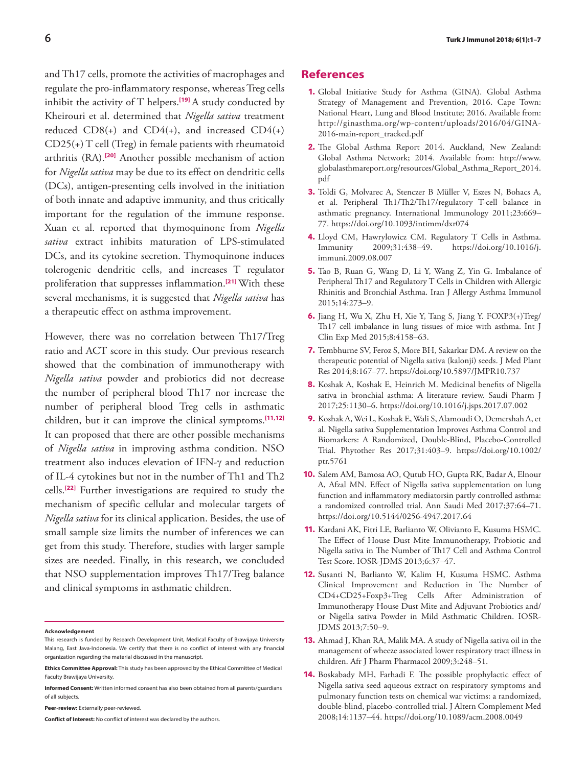<span id="page-5-0"></span>and Th17 cells, promote the activities of macrophages and regulate the pro-inflammatory response, whereas Treg cells inhibit the activity of T helpers.**[\[19\]](#page-6-0)** A study conducted by Kheirouri et al. determined that *Nigella sativa* treatment reduced  $CD8(+)$  and  $CD4(+)$ , and increased  $CD4(+)$ CD25(+) T cell (Treg) in female patients with rheumatoid arthritis (RA).**[\[20\]](#page-6-0)** Another possible mechanism of action for *Nigella sativa* may be due to its effect on dendritic cells (DCs), antigen-presenting cells involved in the initiation of both innate and adaptive immunity, and thus critically important for the regulation of the immune response. Xuan et al. reported that thymoquinone from *Nigella sativa* extract inhibits maturation of LPS-stimulated DCs, and its cytokine secretion. Thymoquinone induces tolerogenic dendritic cells, and increases T regulator proliferation that suppresses inflammation.**[\[21\]](#page-6-0)** With these several mechanisms, it is suggested that *Nigella sativa* has a therapeutic effect on asthma improvement.

However, there was no correlation between Th17/Treg ratio and ACT score in this study. Our previous research showed that the combination of immunotherapy with *Nigella sativa* powder and probiotics did not decrease the number of peripheral blood Th17 nor increase the number of peripheral blood Treg cells in asthmatic children, but it can improve the clinical symptoms.**[11,12]** It can proposed that there are other possible mechanisms of *Nigella sativa* in improving asthma condition. NSO treatment also induces elevation of IFN-γ and reduction of IL-4 cytokines but not in the number of Th1 and Th2 cells.**[\[22\]](#page-6-0)** Further investigations are required to study the mechanism of specific cellular and molecular targets of *Nigella sativa* for its clinical application. Besides, the use of small sample size limits the number of inferences we can get from this study. Therefore, studies with larger sample sizes are needed. Finally, in this research, we concluded that NSO supplementation improves Th17/Treg balance and clinical symptoms in asthmatic children.

#### **Acknowledgement**

**Peer-review:** Externally peer-reviewed.

**Conflict of Interest:** No conflict of interest was declared by the authors.

### **References**

- **1.** Global Initiative Study for Asthma (GINA). Global Asthma Strategy of Management and Prevention, 2016. Cape Town: National Heart, Lung and Blood Institute; 2016. Available from: http://ginasthma.org/wp-content/uploads/2016/04/GINA-2016-main-report\_tracked.pdf
- **2.** The Global Asthma Report 2014. Auckland, New Zealand: Global Asthma Network; 2014. Available from: http://www. globalasthmareport.org/resources/Global\_Asthma\_Report\_2014. pdf
- **3.** Toldi G, Molvarec A, Stenczer B Müller V, Eszes N, Bohacs A, et al. Peripheral Th1/Th2/Th17/regulatory T-cell balance in asthmatic pregnancy. International Immunology 2011;23:669– 77. https://doi.org/10.1093/intimm/dxr074
- **4.** Lloyd CM, Hawrylowicz CM. Regulatory T Cells in Asthma. Immunity 2009;31:438–49. https://doi.org/10.1016/j. immuni.2009.08.007
- **5.** Tao B, Ruan G, Wang D, Li Y, Wang Z, Yin G. Imbalance of Peripheral Th17 and Regulatory T Cells in Children with Allergic Rhinitis and Bronchial Asthma. Iran J Allergy Asthma Immunol 2015;14:273–9.
- **6.** Jiang H, Wu X, Zhu H, Xie Y, Tang S, Jiang Y. FOXP3(+)Treg/ Th17 cell imbalance in lung tissues of mice with asthma. Int J Clin Exp Med 2015;8:4158–63.
- **7.** Tembhurne SV, Feroz S, More BH, Sakarkar DM. A review on the therapeutic potential of Nigella sativa (kalonji) seeds. J Med Plant Res 2014;8:167–77. https://doi.org/10.5897/JMPR10.737
- **8.** Koshak A, Koshak E, Heinrich M. Medicinal benefits of Nigella sativa in bronchial asthma: A literature review. Saudi Pharm J 2017;25:1130–6. https://doi.org/10.1016/j.jsps.2017.07.002
- **9.** Koshak A, Wei L, Koshak E, Wali S, Alamoudi O, Demershah A, et al. Nigella sativa Supplementation Improves Asthma Control and Biomarkers: A Randomized, Double-Blind, Placebo-Controlled Trial. Phytother Res 2017;31:403–9. https://doi.org/10.1002/ ptr.5761
- **10.** Salem AM, Bamosa AO, Qutub HO, Gupta RK, Badar A, Elnour A, Afzal MN. Effect of Nigella sativa supplementation on lung function and inflammatory mediatorsin partly controlled asthma: a randomized controlled trial. Ann Saudi Med 2017;37:64–71. https://doi.org/10.5144/0256-4947.2017.64
- **11.** Kardani AK, Fitri LE, Barlianto W, Olivianto E, Kusuma HSMC. The Effect of House Dust Mite Immunotherapy, Probiotic and Nigella sativa in The Number of Th17 Cell and Asthma Control Test Score. IOSR-JDMS 2013;6:37–47.
- **12.** Susanti N, Barlianto W, Kalim H, Kusuma HSMC. Asthma Clinical Improvement and Reduction in The Number of CD4+CD25+Foxp3+Treg Cells After Administration of Immunotherapy House Dust Mite and Adjuvant Probiotics and/ or Nigella sativa Powder in Mild Asthmatic Children. IOSR-JDMS 2013;7:50–9.
- **13.** Ahmad J, Khan RA, Malik MA. A study of Nigella sativa oil in the management of wheeze associated lower respiratory tract illness in children. Afr J Pharm Pharmacol 2009;3:248–51.
- **14.** Boskabady MH, Farhadi F. The possible prophylactic effect of Nigella sativa seed aqueous extract on respiratory symptoms and pulmonary function tests on chemical war victims: a randomized, double-blind, placebo-controlled trial. J Altern Complement Med 2008;14:1137–44. https://doi.org/10.1089/acm.2008.0049

This research is funded by Research Development Unit, Medical Faculty of Brawijaya University Malang, East Java-Indonesia. We certify that there is no conflict of interest with any financial organization regarding the material discussed in the manuscript.

**Ethics Committee Approval:** This study has been approved by the Ethical Committee of Medical Faculty Brawijaya University.

**Informed Consent:** Written informed consent has also been obtained from all parents/guardians of all subjects.